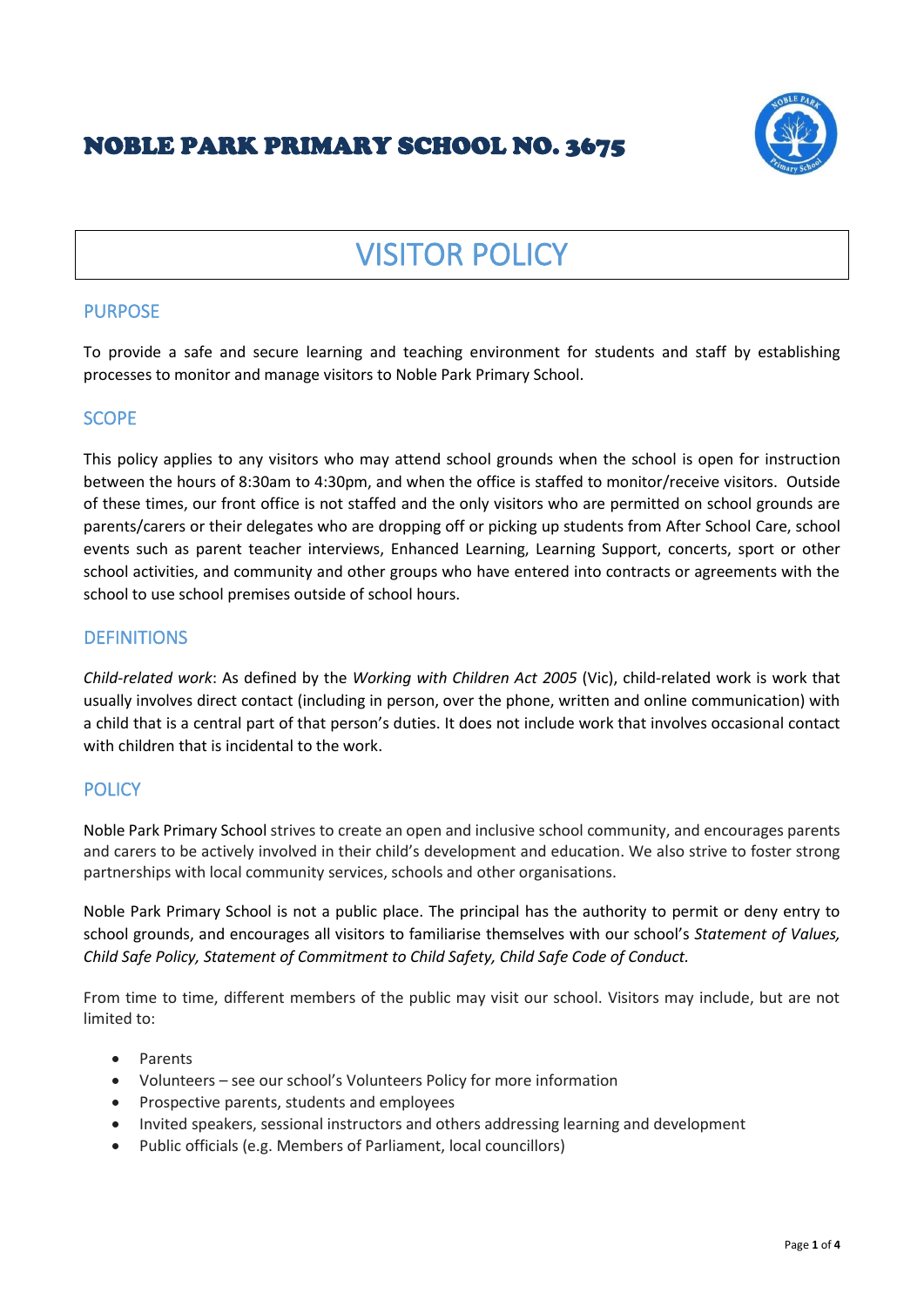# NOBLE PARK PRIMARY SCHOOL NO. 3675



# VISITOR POLICY

# **PURPOSE**

To provide a safe and secure learning and teaching environment for students and staff by establishing processes to monitor and manage visitors to Noble Park Primary School.

# **SCOPE**

This policy applies to any visitors who may attend school grounds when the school is open for instruction between the hours of 8:30am to 4:30pm, and when the office is staffed to monitor/receive visitors. Outside of these times, our front office is not staffed and the only visitors who are permitted on school grounds are parents/carers or their delegates who are dropping off or picking up students from After School Care, school events such as parent teacher interviews, Enhanced Learning, Learning Support, concerts, sport or other school activities, and community and other groups who have entered into contracts or agreements with the school to use school premises outside of school hours.

# **DEFINITIONS**

*Child-related work*: As defined by the *Working with Children Act 2005* (Vic), child-related work is work that usually involves direct contact (including in person, over the phone, written and online communication) with a child that is a central part of that person's duties. It does not include work that involves occasional contact with children that is incidental to the work.

# **POLICY**

Noble Park Primary School strives to create an open and inclusive school community, and encourages parents and carers to be actively involved in their child's development and education. We also strive to foster strong partnerships with local community services, schools and other organisations.

Noble Park Primary School is not a public place. The principal has the authority to permit or deny entry to school grounds, and encourages all visitors to familiarise themselves with our school's *Statement of Values, Child Safe Policy, Statement of Commitment to Child Safety, Child Safe Code of Conduct.* 

From time to time, different members of the public may visit our school. Visitors may include, but are not limited to:

- Parents
- Volunteers see our school's Volunteers Policy for more information
- Prospective parents, students and employees
- Invited speakers, sessional instructors and others addressing learning and development
- Public officials (e.g. Members of Parliament, local councillors)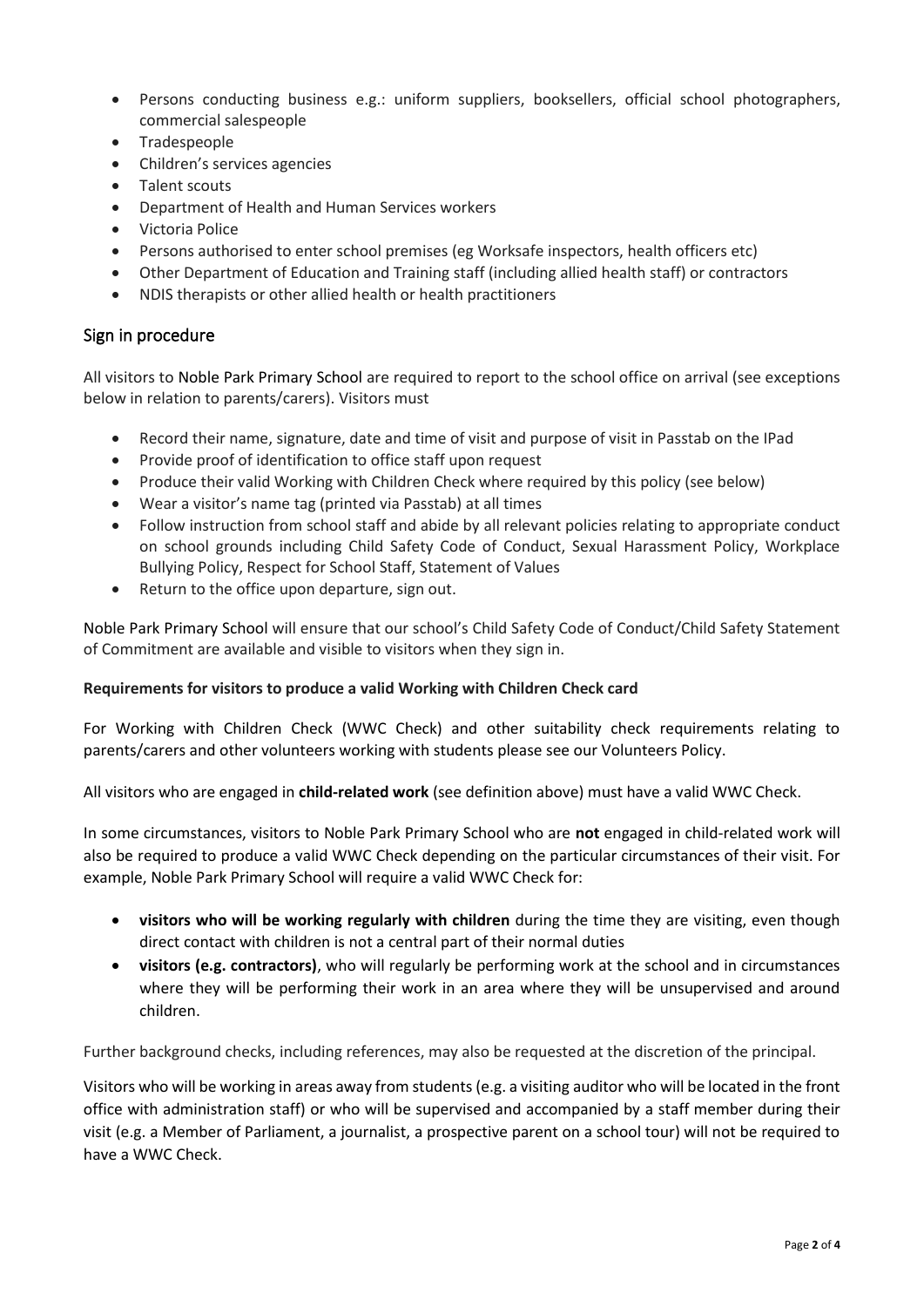- Persons conducting business e.g.: uniform suppliers, booksellers, official school photographers, commercial salespeople
- Tradespeople
- Children's services agencies
- Talent scouts
- Department of Health and Human Services workers
- Victoria Police
- Persons authorised to enter school premises (eg Worksafe inspectors, health officers etc)
- Other Department of Education and Training staff (including allied health staff) or contractors
- NDIS therapists or other allied health or health practitioners

#### Sign in procedure

All visitors to Noble Park Primary School are required to report to the school office on arrival (see exceptions below in relation to parents/carers). Visitors must

- Record their name, signature, date and time of visit and purpose of visit in Passtab on the IPad
- Provide proof of identification to office staff upon request
- Produce their valid Working with Children Check where required by this policy (see below)
- Wear a visitor's name tag (printed via Passtab) at all times
- Follow instruction from school staff and abide by all relevant policies relating to appropriate conduct on school grounds including Child Safety Code of Conduct, Sexual Harassment Policy, Workplace Bullying Policy, Respect for School Staff, Statement of Values
- Return to the office upon departure, sign out.

Noble Park Primary School will ensure that our school's Child Safety Code of Conduct/Child Safety Statement of Commitment are available and visible to visitors when they sign in.

#### **Requirements for visitors to produce a valid Working with Children Check card**

For Working with Children Check (WWC Check) and other suitability check requirements relating to parents/carers and other volunteers working with students please see our Volunteers Policy.

All visitors who are engaged in **child-related work** (see definition above) must have a valid WWC Check.

In some circumstances, visitors to Noble Park Primary School who are **not** engaged in child-related work will also be required to produce a valid WWC Check depending on the particular circumstances of their visit. For example, Noble Park Primary School will require a valid WWC Check for:

- **visitors who will be working regularly with children** during the time they are visiting, even though direct contact with children is not a central part of their normal duties
- **visitors (e.g. contractors)**, who will regularly be performing work at the school and in circumstances where they will be performing their work in an area where they will be unsupervised and around children.

Further background checks, including references, may also be requested at the discretion of the principal.

Visitors who will be working in areas away from students (e.g. a visiting auditor who will be located in the front office with administration staff) or who will be supervised and accompanied by a staff member during their visit (e.g. a Member of Parliament, a journalist, a prospective parent on a school tour) will not be required to have a WWC Check.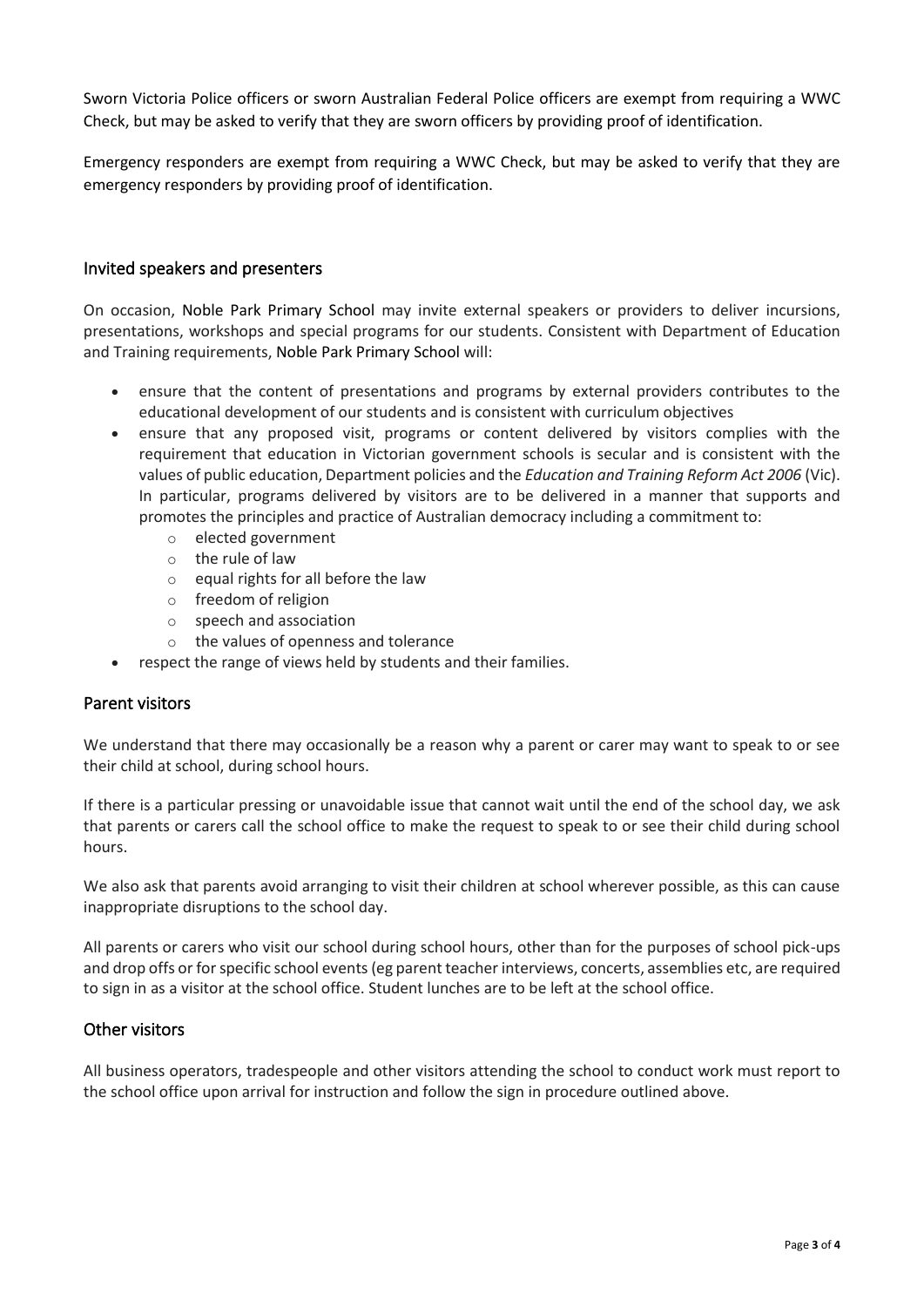Sworn Victoria Police officers or sworn Australian Federal Police officers are exempt from requiring a WWC Check, but may be asked to verify that they are sworn officers by providing proof of identification.

Emergency responders are exempt from requiring a WWC Check, but may be asked to verify that they are emergency responders by providing proof of identification.

#### Invited speakers and presenters

On occasion, Noble Park Primary School may invite external speakers or providers to deliver incursions, presentations, workshops and special programs for our students. Consistent with Department of Education and Training requirements, Noble Park Primary School will:

- ensure that the content of presentations and programs by external providers contributes to the educational development of our students and is consistent with curriculum objectives
- ensure that any proposed visit, programs or content delivered by visitors complies with the requirement that education in Victorian government schools is secular and is consistent with the values of public education, Department policies and the *Education and Training Reform Act 2006* (Vic). In particular, programs delivered by visitors are to be delivered in a manner that supports and promotes the principles and practice of Australian democracy including a commitment to:
	- o elected government
	- o the rule of law
	- $\circ$  equal rights for all before the law
	- o freedom of religion
	- o speech and association
	- o the values of openness and tolerance
- respect the range of views held by students and their families.

#### Parent visitors

We understand that there may occasionally be a reason why a parent or carer may want to speak to or see their child at school, during school hours.

If there is a particular pressing or unavoidable issue that cannot wait until the end of the school day, we ask that parents or carers call the school office to make the request to speak to or see their child during school hours.

We also ask that parents avoid arranging to visit their children at school wherever possible, as this can cause inappropriate disruptions to the school day.

All parents or carers who visit our school during school hours, other than for the purposes of school pick-ups and drop offs or for specific school events (eg parent teacher interviews, concerts, assemblies etc, are required to sign in as a visitor at the school office. Student lunches are to be left at the school office.

#### Other visitors

All business operators, tradespeople and other visitors attending the school to conduct work must report to the school office upon arrival for instruction and follow the sign in procedure outlined above.